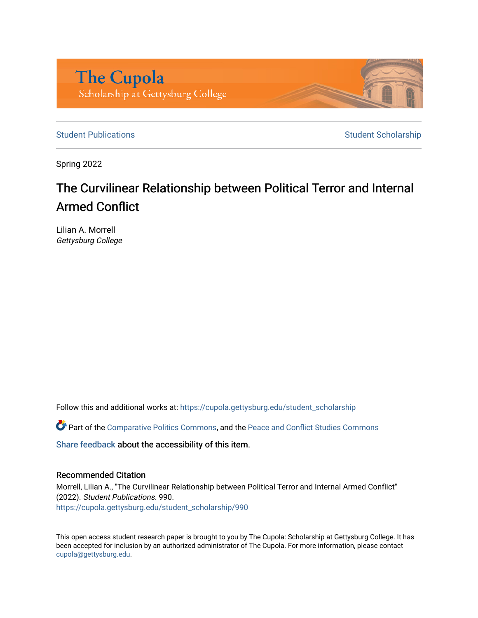

[Student Publications](https://cupola.gettysburg.edu/student_scholarship) **Student Scholarship** Student Scholarship

Spring 2022

# The Curvilinear Relationship between Political Terror and Internal Armed Conflict

Lilian A. Morrell Gettysburg College

Follow this and additional works at: [https://cupola.gettysburg.edu/student\\_scholarship](https://cupola.gettysburg.edu/student_scholarship?utm_source=cupola.gettysburg.edu%2Fstudent_scholarship%2F990&utm_medium=PDF&utm_campaign=PDFCoverPages) 

Part of the [Comparative Politics Commons,](https://network.bepress.com/hgg/discipline/388?utm_source=cupola.gettysburg.edu%2Fstudent_scholarship%2F990&utm_medium=PDF&utm_campaign=PDFCoverPages) and the [Peace and Conflict Studies Commons](https://network.bepress.com/hgg/discipline/397?utm_source=cupola.gettysburg.edu%2Fstudent_scholarship%2F990&utm_medium=PDF&utm_campaign=PDFCoverPages)

[Share feedback](https://docs.google.com/a/bepress.com/forms/d/1h9eEcpBPj5POs5oO6Y5A0blXRmZqykoonyYiZUNyEq8/viewform) about the accessibility of this item.

#### Recommended Citation

Morrell, Lilian A., "The Curvilinear Relationship between Political Terror and Internal Armed Conflict" (2022). Student Publications. 990. [https://cupola.gettysburg.edu/student\\_scholarship/990](https://cupola.gettysburg.edu/student_scholarship/990?utm_source=cupola.gettysburg.edu%2Fstudent_scholarship%2F990&utm_medium=PDF&utm_campaign=PDFCoverPages)

This open access student research paper is brought to you by The Cupola: Scholarship at Gettysburg College. It has been accepted for inclusion by an authorized administrator of The Cupola. For more information, please contact [cupola@gettysburg.edu.](mailto:cupola@gettysburg.edu)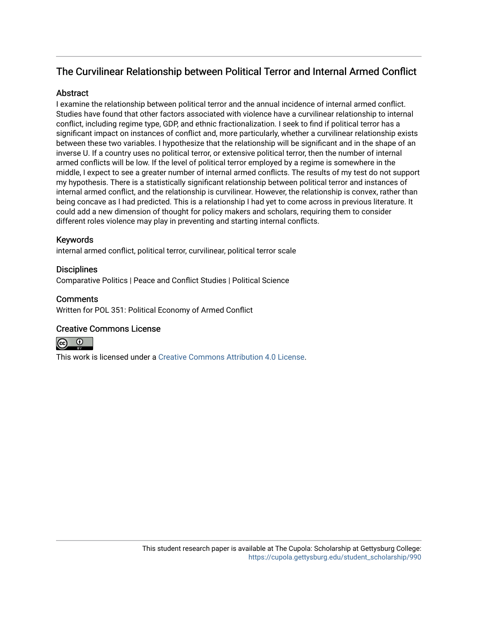# The Curvilinear Relationship between Political Terror and Internal Armed Conflict

# **Abstract**

I examine the relationship between political terror and the annual incidence of internal armed conflict. Studies have found that other factors associated with violence have a curvilinear relationship to internal conflict, including regime type, GDP, and ethnic fractionalization. I seek to find if political terror has a significant impact on instances of conflict and, more particularly, whether a curvilinear relationship exists between these two variables. I hypothesize that the relationship will be significant and in the shape of an inverse U. If a country uses no political terror, or extensive political terror, then the number of internal armed conflicts will be low. If the level of political terror employed by a regime is somewhere in the middle, I expect to see a greater number of internal armed conflicts. The results of my test do not support my hypothesis. There is a statistically significant relationship between political terror and instances of internal armed conflict, and the relationship is curvilinear. However, the relationship is convex, rather than being concave as I had predicted. This is a relationship I had yet to come across in previous literature. It could add a new dimension of thought for policy makers and scholars, requiring them to consider different roles violence may play in preventing and starting internal conflicts.

# Keywords

internal armed conflict, political terror, curvilinear, political terror scale

# **Disciplines**

Comparative Politics | Peace and Conflict Studies | Political Science

# **Comments**

Written for POL 351: Political Economy of Armed Conflict

# Creative Commons License



This work is licensed under a [Creative Commons Attribution 4.0 License](https://creativecommons.org/licenses/by/4.0/).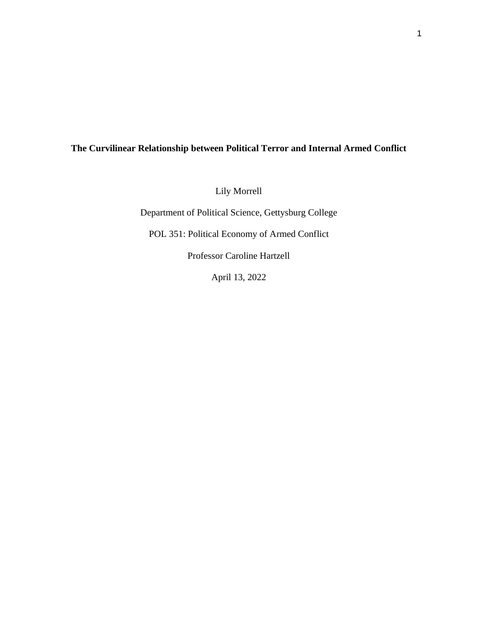# **The Curvilinear Relationship between Political Terror and Internal Armed Conflict**

Lily Morrell

Department of Political Science, Gettysburg College

POL 351: Political Economy of Armed Conflict

Professor Caroline Hartzell

April 13, 2022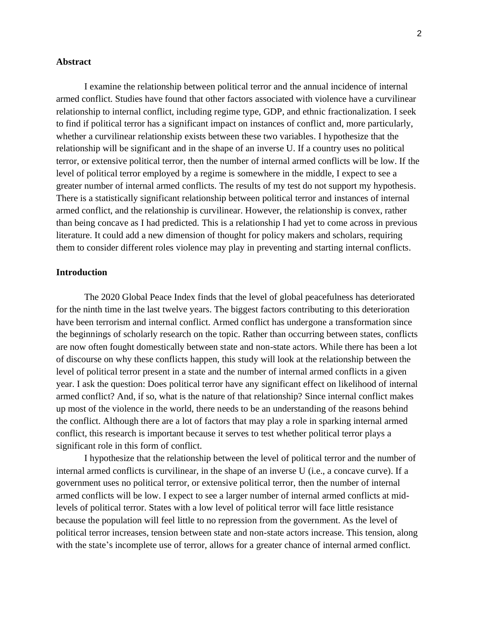#### **Abstract**

I examine the relationship between political terror and the annual incidence of internal armed conflict. Studies have found that other factors associated with violence have a curvilinear relationship to internal conflict, including regime type, GDP, and ethnic fractionalization. I seek to find if political terror has a significant impact on instances of conflict and, more particularly, whether a curvilinear relationship exists between these two variables. I hypothesize that the relationship will be significant and in the shape of an inverse U. If a country uses no political terror, or extensive political terror, then the number of internal armed conflicts will be low. If the level of political terror employed by a regime is somewhere in the middle, I expect to see a greater number of internal armed conflicts. The results of my test do not support my hypothesis. There is a statistically significant relationship between political terror and instances of internal armed conflict, and the relationship is curvilinear. However, the relationship is convex, rather than being concave as I had predicted. This is a relationship I had yet to come across in previous literature. It could add a new dimension of thought for policy makers and scholars, requiring them to consider different roles violence may play in preventing and starting internal conflicts.

#### **Introduction**

The 2020 Global Peace Index finds that the level of global peacefulness has deteriorated for the ninth time in the last twelve years. The biggest factors contributing to this deterioration have been terrorism and internal conflict. Armed conflict has undergone a transformation since the beginnings of scholarly research on the topic. Rather than occurring between states, conflicts are now often fought domestically between state and non-state actors. While there has been a lot of discourse on why these conflicts happen, this study will look at the relationship between the level of political terror present in a state and the number of internal armed conflicts in a given year. I ask the question: Does political terror have any significant effect on likelihood of internal armed conflict? And, if so, what is the nature of that relationship? Since internal conflict makes up most of the violence in the world, there needs to be an understanding of the reasons behind the conflict. Although there are a lot of factors that may play a role in sparking internal armed conflict, this research is important because it serves to test whether political terror plays a significant role in this form of conflict.

I hypothesize that the relationship between the level of political terror and the number of internal armed conflicts is curvilinear, in the shape of an inverse U (i.e., a concave curve). If a government uses no political terror, or extensive political terror, then the number of internal armed conflicts will be low. I expect to see a larger number of internal armed conflicts at midlevels of political terror. States with a low level of political terror will face little resistance because the population will feel little to no repression from the government. As the level of political terror increases, tension between state and non-state actors increase. This tension, along with the state's incomplete use of terror, allows for a greater chance of internal armed conflict.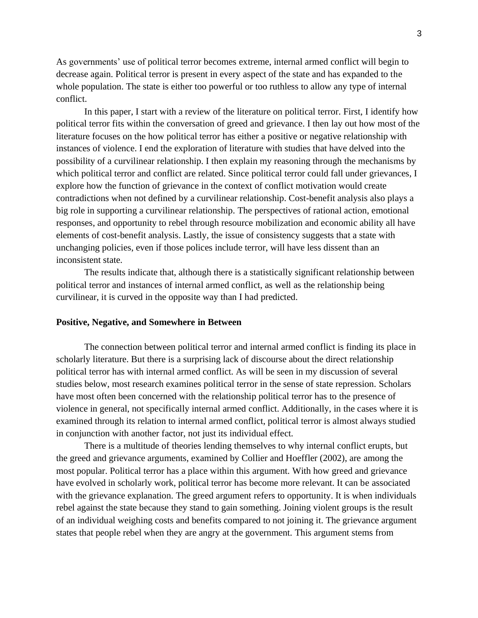As governments' use of political terror becomes extreme, internal armed conflict will begin to decrease again. Political terror is present in every aspect of the state and has expanded to the whole population. The state is either too powerful or too ruthless to allow any type of internal conflict.

In this paper, I start with a review of the literature on political terror. First, I identify how political terror fits within the conversation of greed and grievance. I then lay out how most of the literature focuses on the how political terror has either a positive or negative relationship with instances of violence. I end the exploration of literature with studies that have delved into the possibility of a curvilinear relationship. I then explain my reasoning through the mechanisms by which political terror and conflict are related. Since political terror could fall under grievances, I explore how the function of grievance in the context of conflict motivation would create contradictions when not defined by a curvilinear relationship. Cost-benefit analysis also plays a big role in supporting a curvilinear relationship. The perspectives of rational action, emotional responses, and opportunity to rebel through resource mobilization and economic ability all have elements of cost-benefit analysis. Lastly, the issue of consistency suggests that a state with unchanging policies, even if those polices include terror, will have less dissent than an inconsistent state.

The results indicate that, although there is a statistically significant relationship between political terror and instances of internal armed conflict, as well as the relationship being curvilinear, it is curved in the opposite way than I had predicted.

#### **Positive, Negative, and Somewhere in Between**

The connection between political terror and internal armed conflict is finding its place in scholarly literature. But there is a surprising lack of discourse about the direct relationship political terror has with internal armed conflict. As will be seen in my discussion of several studies below, most research examines political terror in the sense of state repression. Scholars have most often been concerned with the relationship political terror has to the presence of violence in general, not specifically internal armed conflict. Additionally, in the cases where it is examined through its relation to internal armed conflict, political terror is almost always studied in conjunction with another factor, not just its individual effect.

There is a multitude of theories lending themselves to why internal conflict erupts, but the greed and grievance arguments, examined by Collier and Hoeffler (2002), are among the most popular. Political terror has a place within this argument. With how greed and grievance have evolved in scholarly work, political terror has become more relevant. It can be associated with the grievance explanation. The greed argument refers to opportunity. It is when individuals rebel against the state because they stand to gain something. Joining violent groups is the result of an individual weighing costs and benefits compared to not joining it. The grievance argument states that people rebel when they are angry at the government. This argument stems from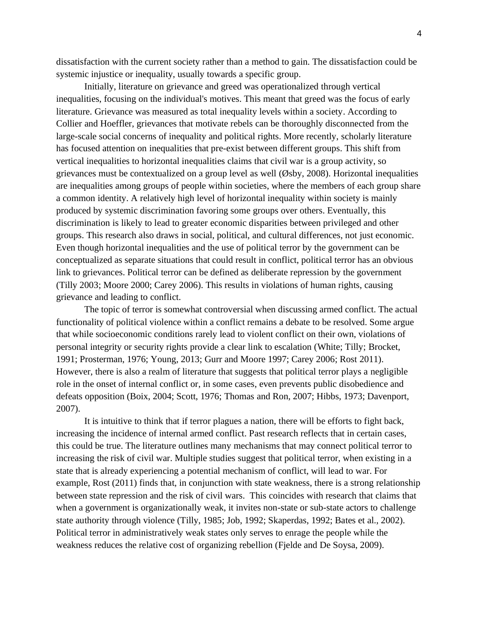dissatisfaction with the current society rather than a method to gain. The dissatisfaction could be systemic injustice or inequality, usually towards a specific group.

Initially, literature on grievance and greed was operationalized through vertical inequalities, focusing on the individual's motives. This meant that greed was the focus of early literature. Grievance was measured as total inequality levels within a society. According to Collier and Hoeffler, grievances that motivate rebels can be thoroughly disconnected from the large-scale social concerns of inequality and political rights. More recently, scholarly literature has focused attention on inequalities that pre-exist between different groups. This shift from vertical inequalities to horizontal inequalities claims that civil war is a group activity, so grievances must be contextualized on a group level as well  $(\emptyset$ sby, 2008). Horizontal inequalities are inequalities among groups of people within societies, where the members of each group share a common identity. A relatively high level of horizontal inequality within society is mainly produced by systemic discrimination favoring some groups over others. Eventually, this discrimination is likely to lead to greater economic disparities between privileged and other groups. This research also draws in social, political, and cultural differences, not just economic. Even though horizontal inequalities and the use of political terror by the government can be conceptualized as separate situations that could result in conflict, political terror has an obvious link to grievances. Political terror can be defined as deliberate repression by the government (Tilly 2003; Moore 2000; Carey 2006). This results in violations of human rights, causing grievance and leading to conflict.

The topic of terror is somewhat controversial when discussing armed conflict. The actual functionality of political violence within a conflict remains a debate to be resolved. Some argue that while socioeconomic conditions rarely lead to violent conflict on their own, violations of personal integrity or security rights provide a clear link to escalation (White; Tilly; Brocket, 1991; Prosterman, 1976; Young, 2013; Gurr and Moore 1997; Carey 2006; Rost 2011). However, there is also a realm of literature that suggests that political terror plays a negligible role in the onset of internal conflict or, in some cases, even prevents public disobedience and defeats opposition (Boix, 2004; Scott, 1976; Thomas and Ron, 2007; Hibbs, 1973; Davenport, 2007).

It is intuitive to think that if terror plagues a nation, there will be efforts to fight back, increasing the incidence of internal armed conflict. Past research reflects that in certain cases, this could be true. The literature outlines many mechanisms that may connect political terror to increasing the risk of civil war. Multiple studies suggest that political terror, when existing in a state that is already experiencing a potential mechanism of conflict, will lead to war. For example, Rost (2011) finds that, in conjunction with state weakness, there is a strong relationship between state repression and the risk of civil wars. This coincides with research that claims that when a government is organizationally weak, it invites non-state or sub-state actors to challenge state authority through violence (Tilly, 1985; Job, 1992; Skaperdas, 1992; Bates et al., 2002). Political terror in administratively weak states only serves to enrage the people while the weakness reduces the relative cost of organizing rebellion (Fjelde and De Soysa, 2009).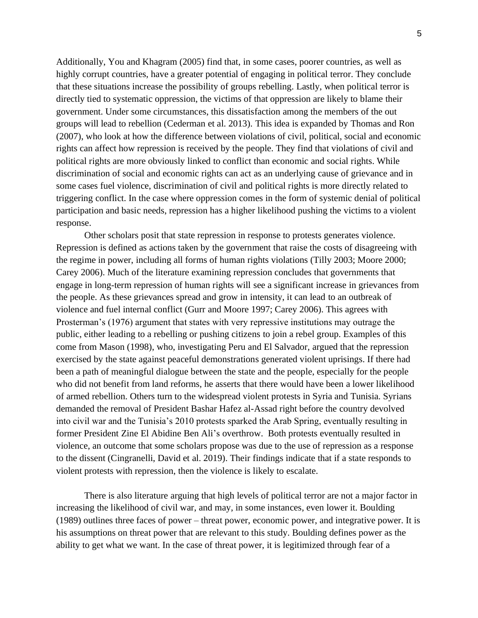Additionally, You and Khagram (2005) find that, in some cases, poorer countries, as well as highly corrupt countries, have a greater potential of engaging in political terror. They conclude that these situations increase the possibility of groups rebelling. Lastly, when political terror is directly tied to systematic oppression, the victims of that oppression are likely to blame their government. Under some circumstances, this dissatisfaction among the members of the out groups will lead to rebellion (Cederman et al. 2013). This idea is expanded by Thomas and Ron (2007), who look at how the difference between violations of civil, political, social and economic rights can affect how repression is received by the people. They find that violations of civil and political rights are more obviously linked to conflict than economic and social rights. While discrimination of social and economic rights can act as an underlying cause of grievance and in some cases fuel violence, discrimination of civil and political rights is more directly related to triggering conflict. In the case where oppression comes in the form of systemic denial of political participation and basic needs, repression has a higher likelihood pushing the victims to a violent response.

Other scholars posit that state repression in response to protests generates violence. Repression is defined as actions taken by the government that raise the costs of disagreeing with the regime in power, including all forms of human rights violations (Tilly 2003; Moore 2000; Carey 2006). Much of the literature examining repression concludes that governments that engage in long-term repression of human rights will see a significant increase in grievances from the people. As these grievances spread and grow in intensity, it can lead to an outbreak of violence and fuel internal conflict (Gurr and Moore 1997; Carey 2006). This agrees with Prosterman's (1976) argument that states with very repressive institutions may outrage the public, either leading to a rebelling or pushing citizens to join a rebel group. Examples of this come from Mason (1998), who, investigating Peru and El Salvador, argued that the repression exercised by the state against peaceful demonstrations generated violent uprisings. If there had been a path of meaningful dialogue between the state and the people, especially for the people who did not benefit from land reforms, he asserts that there would have been a lower likelihood of armed rebellion. Others turn to the widespread violent protests in Syria and Tunisia. Syrians demanded the removal of President Bashar Hafez al-Assad right before the country devolved into civil war and the Tunisia's 2010 protests sparked the Arab Spring, eventually resulting in former President Zine El Abidine Ben Ali's overthrow. Both protests eventually resulted in violence, an outcome that some scholars propose was due to the use of repression as a response to the dissent (Cingranelli, David et al. 2019). Their findings indicate that if a state responds to violent protests with repression, then the violence is likely to escalate.

There is also literature arguing that high levels of political terror are not a major factor in increasing the likelihood of civil war, and may, in some instances, even lower it. Boulding (1989) outlines three faces of power – threat power, economic power, and integrative power. It is his assumptions on threat power that are relevant to this study. Boulding defines power as the ability to get what we want. In the case of threat power, it is legitimized through fear of a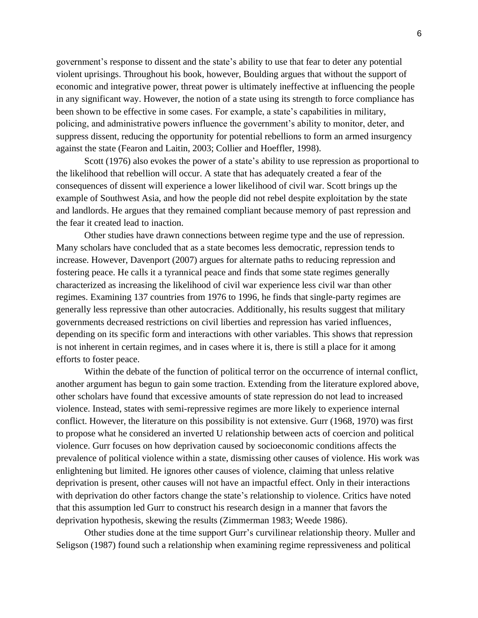government's response to dissent and the state's ability to use that fear to deter any potential violent uprisings. Throughout his book, however, Boulding argues that without the support of economic and integrative power, threat power is ultimately ineffective at influencing the people in any significant way. However, the notion of a state using its strength to force compliance has been shown to be effective in some cases. For example, a state's capabilities in military, policing, and administrative powers influence the government's ability to monitor, deter, and suppress dissent, reducing the opportunity for potential rebellions to form an armed insurgency against the state (Fearon and Laitin, 2003; Collier and Hoeffler, 1998).

Scott (1976) also evokes the power of a state's ability to use repression as proportional to the likelihood that rebellion will occur. A state that has adequately created a fear of the consequences of dissent will experience a lower likelihood of civil war. Scott brings up the example of Southwest Asia, and how the people did not rebel despite exploitation by the state and landlords. He argues that they remained compliant because memory of past repression and the fear it created lead to inaction.

Other studies have drawn connections between regime type and the use of repression. Many scholars have concluded that as a state becomes less democratic, repression tends to increase. However, Davenport (2007) argues for alternate paths to reducing repression and fostering peace. He calls it a tyrannical peace and finds that some state regimes generally characterized as increasing the likelihood of civil war experience less civil war than other regimes. Examining 137 countries from 1976 to 1996, he finds that single-party regimes are generally less repressive than other autocracies. Additionally, his results suggest that military governments decreased restrictions on civil liberties and repression has varied influences, depending on its specific form and interactions with other variables. This shows that repression is not inherent in certain regimes, and in cases where it is, there is still a place for it among efforts to foster peace.

Within the debate of the function of political terror on the occurrence of internal conflict, another argument has begun to gain some traction. Extending from the literature explored above, other scholars have found that excessive amounts of state repression do not lead to increased violence. Instead, states with semi-repressive regimes are more likely to experience internal conflict. However, the literature on this possibility is not extensive. Gurr (1968, 1970) was first to propose what he considered an inverted U relationship between acts of coercion and political violence. Gurr focuses on how deprivation caused by socioeconomic conditions affects the prevalence of political violence within a state, dismissing other causes of violence. His work was enlightening but limited. He ignores other causes of violence, claiming that unless relative deprivation is present, other causes will not have an impactful effect. Only in their interactions with deprivation do other factors change the state's relationship to violence. Critics have noted that this assumption led Gurr to construct his research design in a manner that favors the deprivation hypothesis, skewing the results (Zimmerman 1983; Weede 1986).

Other studies done at the time support Gurr's curvilinear relationship theory. Muller and Seligson (1987) found such a relationship when examining regime repressiveness and political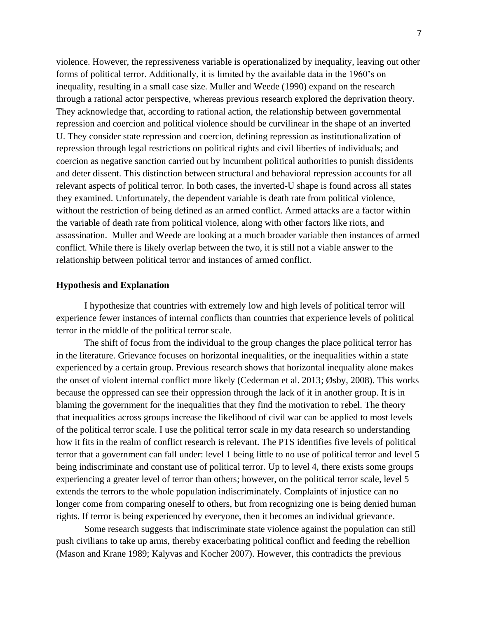violence. However, the repressiveness variable is operationalized by inequality, leaving out other forms of political terror. Additionally, it is limited by the available data in the 1960's on inequality, resulting in a small case size. Muller and Weede (1990) expand on the research through a rational actor perspective, whereas previous research explored the deprivation theory. They acknowledge that, according to rational action, the relationship between governmental repression and coercion and political violence should be curvilinear in the shape of an inverted U. They consider state repression and coercion, defining repression as institutionalization of repression through legal restrictions on political rights and civil liberties of individuals; and coercion as negative sanction carried out by incumbent political authorities to punish dissidents and deter dissent. This distinction between structural and behavioral repression accounts for all relevant aspects of political terror. In both cases, the inverted-U shape is found across all states they examined. Unfortunately, the dependent variable is death rate from political violence, without the restriction of being defined as an armed conflict. Armed attacks are a factor within the variable of death rate from political violence, along with other factors like riots, and assassination. Muller and Weede are looking at a much broader variable then instances of armed conflict. While there is likely overlap between the two, it is still not a viable answer to the relationship between political terror and instances of armed conflict.

#### **Hypothesis and Explanation**

I hypothesize that countries with extremely low and high levels of political terror will experience fewer instances of internal conflicts than countries that experience levels of political terror in the middle of the political terror scale.

The shift of focus from the individual to the group changes the place political terror has in the literature. Grievance focuses on horizontal inequalities, or the inequalities within a state experienced by a certain group. Previous research shows that horizontal inequality alone makes the onset of violent internal conflict more likely (Cederman et al. 2013; Øsby, 2008). This works because the oppressed can see their oppression through the lack of it in another group. It is in blaming the government for the inequalities that they find the motivation to rebel. The theory that inequalities across groups increase the likelihood of civil war can be applied to most levels of the political terror scale. I use the political terror scale in my data research so understanding how it fits in the realm of conflict research is relevant. The PTS identifies five levels of political terror that a government can fall under: level 1 being little to no use of political terror and level 5 being indiscriminate and constant use of political terror. Up to level 4, there exists some groups experiencing a greater level of terror than others; however, on the political terror scale, level 5 extends the terrors to the whole population indiscriminately. Complaints of injustice can no longer come from comparing oneself to others, but from recognizing one is being denied human rights. If terror is being experienced by everyone, then it becomes an individual grievance.

Some research suggests that indiscriminate state violence against the population can still push civilians to take up arms, thereby exacerbating political conflict and feeding the rebellion (Mason and Krane 1989; Kalyvas and Kocher 2007). However, this contradicts the previous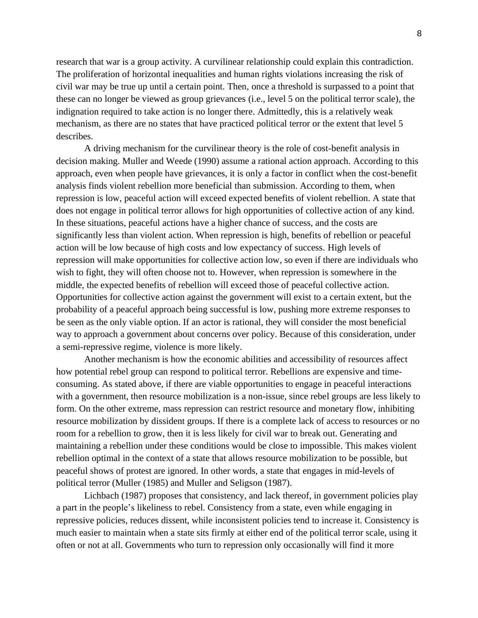research that war is a group activity. A curvilinear relationship could explain this contradiction. The proliferation of horizontal inequalities and human rights violations increasing the risk of civil war may be true up until a certain point. Then, once a threshold is surpassed to a point that these can no longer be viewed as group grievances (i.e., level 5 on the political terror scale), the indignation required to take action is no longer there. Admittedly, this is a relatively weak mechanism, as there are no states that have practiced political terror or the extent that level 5 describes.

A driving mechanism for the curvilinear theory is the role of cost-benefit analysis in decision making. Muller and Weede (1990) assume a rational action approach. According to this approach, even when people have grievances, it is only a factor in conflict when the cost-benefit analysis finds violent rebellion more beneficial than submission. According to them, when repression is low, peaceful action will exceed expected benefits of violent rebellion. A state that does not engage in political terror allows for high opportunities of collective action of any kind. In these situations, peaceful actions have a higher chance of success, and the costs are significantly less than violent action. When repression is high, benefits of rebellion or peaceful action will be low because of high costs and low expectancy of success. High levels of repression will make opportunities for collective action low, so even if there are individuals who wish to fight, they will often choose not to. However, when repression is somewhere in the middle, the expected benefits of rebellion will exceed those of peaceful collective action. Opportunities for collective action against the government will exist to a certain extent, but the probability of a peaceful approach being successful is low, pushing more extreme responses to be seen as the only viable option. If an actor is rational, they will consider the most beneficial way to approach a government about concerns over policy. Because of this consideration, under a semi-repressive regime, violence is more likely.

Another mechanism is how the economic abilities and accessibility of resources affect how potential rebel group can respond to political terror. Rebellions are expensive and timeconsuming. As stated above, if there are viable opportunities to engage in peaceful interactions with a government, then resource mobilization is a non-issue, since rebel groups are less likely to form. On the other extreme, mass repression can restrict resource and monetary flow, inhibiting resource mobilization by dissident groups. If there is a complete lack of access to resources or no room for a rebellion to grow, then it is less likely for civil war to break out. Generating and maintaining a rebellion under these conditions would be close to impossible. This makes violent rebellion optimal in the context of a state that allows resource mobilization to be possible, but peaceful shows of protest are ignored. In other words, a state that engages in mid-levels of political terror (Muller (1985) and Muller and Seligson (1987).

Lichbach (1987) proposes that consistency, and lack thereof, in government policies play a part in the people's likeliness to rebel. Consistency from a state, even while engaging in repressive policies, reduces dissent, while inconsistent policies tend to increase it. Consistency is much easier to maintain when a state sits firmly at either end of the political terror scale, using it often or not at all. Governments who turn to repression only occasionally will find it more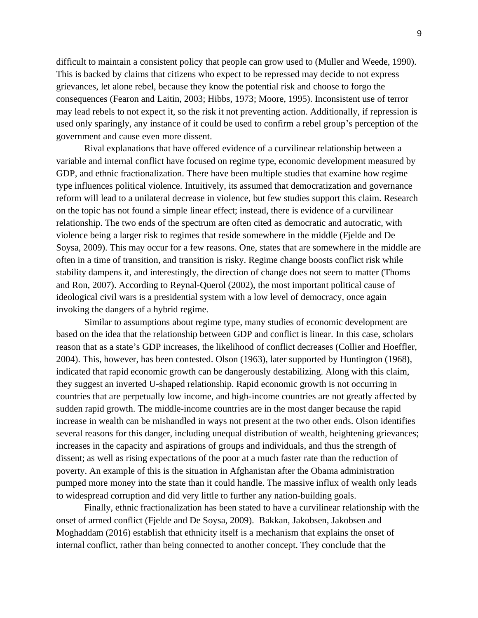difficult to maintain a consistent policy that people can grow used to (Muller and Weede, 1990). This is backed by claims that citizens who expect to be repressed may decide to not express grievances, let alone rebel, because they know the potential risk and choose to forgo the consequences (Fearon and Laitin, 2003; Hibbs, 1973; Moore, 1995). Inconsistent use of terror may lead rebels to not expect it, so the risk it not preventing action. Additionally, if repression is used only sparingly, any instance of it could be used to confirm a rebel group's perception of the government and cause even more dissent.

Rival explanations that have offered evidence of a curvilinear relationship between a variable and internal conflict have focused on regime type, economic development measured by GDP, and ethnic fractionalization. There have been multiple studies that examine how regime type influences political violence. Intuitively, its assumed that democratization and governance reform will lead to a unilateral decrease in violence, but few studies support this claim. Research on the topic has not found a simple linear effect; instead, there is evidence of a curvilinear relationship. The two ends of the spectrum are often cited as democratic and autocratic, with violence being a larger risk to regimes that reside somewhere in the middle (Fjelde and De Soysa, 2009). This may occur for a few reasons. One, states that are somewhere in the middle are often in a time of transition, and transition is risky. Regime change boosts conflict risk while stability dampens it, and interestingly, the direction of change does not seem to matter (Thoms and Ron, 2007). According to Reynal-Querol (2002), the most important political cause of ideological civil wars is a presidential system with a low level of democracy, once again invoking the dangers of a hybrid regime.

Similar to assumptions about regime type, many studies of economic development are based on the idea that the relationship between GDP and conflict is linear. In this case, scholars reason that as a state's GDP increases, the likelihood of conflict decreases (Collier and Hoeffler, 2004). This, however, has been contested. Olson (1963), later supported by Huntington (1968), indicated that rapid economic growth can be dangerously destabilizing. Along with this claim, they suggest an inverted U-shaped relationship. Rapid economic growth is not occurring in countries that are perpetually low income, and high-income countries are not greatly affected by sudden rapid growth. The middle-income countries are in the most danger because the rapid increase in wealth can be mishandled in ways not present at the two other ends. Olson identifies several reasons for this danger, including unequal distribution of wealth, heightening grievances; increases in the capacity and aspirations of groups and individuals, and thus the strength of dissent; as well as rising expectations of the poor at a much faster rate than the reduction of poverty. An example of this is the situation in Afghanistan after the Obama administration pumped more money into the state than it could handle. The massive influx of wealth only leads to widespread corruption and did very little to further any nation-building goals.

Finally, ethnic fractionalization has been stated to have a curvilinear relationship with the onset of armed conflict (Fjelde and De Soysa, 2009). Bakkan, Jakobsen, Jakobsen and Moghaddam (2016) establish that ethnicity itself is a mechanism that explains the onset of internal conflict, rather than being connected to another concept. They conclude that the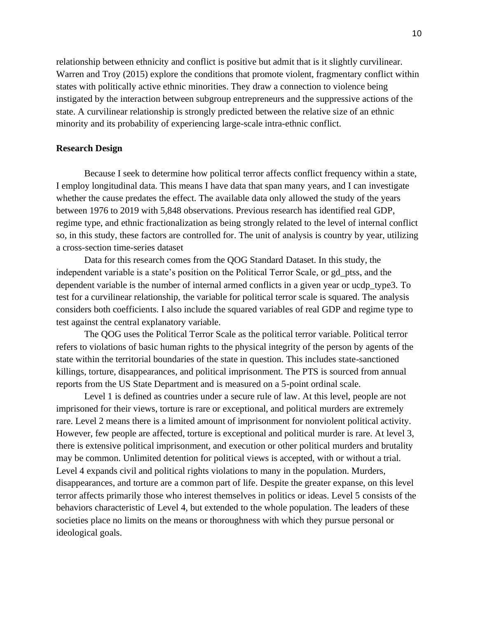relationship between ethnicity and conflict is positive but admit that is it slightly curvilinear. Warren and Troy (2015) explore the conditions that promote violent, fragmentary conflict within states with politically active ethnic minorities. They draw a connection to violence being instigated by the interaction between subgroup entrepreneurs and the suppressive actions of the state. A curvilinear relationship is strongly predicted between the relative size of an ethnic minority and its probability of experiencing large-scale intra-ethnic conflict.

#### **Research Design**

Because I seek to determine how political terror affects conflict frequency within a state, I employ longitudinal data. This means I have data that span many years, and I can investigate whether the cause predates the effect. The available data only allowed the study of the years between 1976 to 2019 with 5,848 observations. Previous research has identified real GDP, regime type, and ethnic fractionalization as being strongly related to the level of internal conflict so, in this study, these factors are controlled for. The unit of analysis is country by year, utilizing a cross-section time-series dataset

Data for this research comes from the QOG Standard Dataset. In this study, the independent variable is a state's position on the Political Terror Scale, or gd\_ptss, and the dependent variable is the number of internal armed conflicts in a given year or ucdp\_type3. To test for a curvilinear relationship, the variable for political terror scale is squared. The analysis considers both coefficients. I also include the squared variables of real GDP and regime type to test against the central explanatory variable.

The QOG uses the Political Terror Scale as the political terror variable. Political terror refers to violations of basic human rights to the physical integrity of the person by agents of the state within the territorial boundaries of the state in question. This includes state-sanctioned killings, torture, disappearances, and political imprisonment. The PTS is sourced from annual reports from the US State Department and is measured on a 5-point ordinal scale.

Level 1 is defined as countries under a secure rule of law. At this level, people are not imprisoned for their views, torture is rare or exceptional, and political murders are extremely rare. Level 2 means there is a limited amount of imprisonment for nonviolent political activity. However, few people are affected, torture is exceptional and political murder is rare. At level 3, there is extensive political imprisonment, and execution or other political murders and brutality may be common. Unlimited detention for political views is accepted, with or without a trial. Level 4 expands civil and political rights violations to many in the population. Murders, disappearances, and torture are a common part of life. Despite the greater expanse, on this level terror affects primarily those who interest themselves in politics or ideas. Level 5 consists of the behaviors characteristic of Level 4, but extended to the whole population. The leaders of these societies place no limits on the means or thoroughness with which they pursue personal or ideological goals.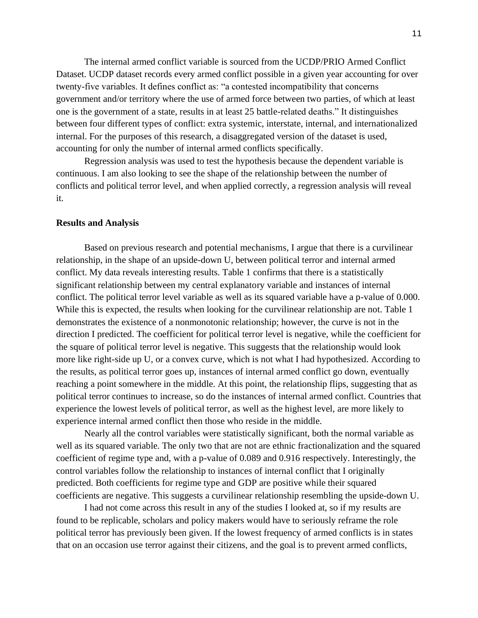The internal armed conflict variable is sourced from the UCDP/PRIO Armed Conflict Dataset. UCDP dataset records every armed conflict possible in a given year accounting for over twenty-five variables. It defines conflict as: "a contested incompatibility that concerns government and/or territory where the use of armed force between two parties, of which at least one is the government of a state, results in at least 25 battle-related deaths." It distinguishes between four different types of conflict: extra systemic, interstate, internal, and internationalized internal. For the purposes of this research, a disaggregated version of the dataset is used, accounting for only the number of internal armed conflicts specifically.

Regression analysis was used to test the hypothesis because the dependent variable is continuous. I am also looking to see the shape of the relationship between the number of conflicts and political terror level, and when applied correctly, a regression analysis will reveal it.

#### **Results and Analysis**

Based on previous research and potential mechanisms, I argue that there is a curvilinear relationship, in the shape of an upside-down U, between political terror and internal armed conflict. My data reveals interesting results. Table 1 confirms that there is a statistically significant relationship between my central explanatory variable and instances of internal conflict. The political terror level variable as well as its squared variable have a p-value of 0.000. While this is expected, the results when looking for the curvilinear relationship are not. Table 1 demonstrates the existence of a nonmonotonic relationship; however, the curve is not in the direction I predicted. The coefficient for political terror level is negative, while the coefficient for the square of political terror level is negative. This suggests that the relationship would look more like right-side up U, or a convex curve, which is not what I had hypothesized. According to the results, as political terror goes up, instances of internal armed conflict go down, eventually reaching a point somewhere in the middle. At this point, the relationship flips, suggesting that as political terror continues to increase, so do the instances of internal armed conflict. Countries that experience the lowest levels of political terror, as well as the highest level, are more likely to experience internal armed conflict then those who reside in the middle.

Nearly all the control variables were statistically significant, both the normal variable as well as its squared variable. The only two that are not are ethnic fractionalization and the squared coefficient of regime type and, with a p-value of 0.089 and 0.916 respectively. Interestingly, the control variables follow the relationship to instances of internal conflict that I originally predicted. Both coefficients for regime type and GDP are positive while their squared coefficients are negative. This suggests a curvilinear relationship resembling the upside-down U.

I had not come across this result in any of the studies I looked at, so if my results are found to be replicable, scholars and policy makers would have to seriously reframe the role political terror has previously been given. If the lowest frequency of armed conflicts is in states that on an occasion use terror against their citizens, and the goal is to prevent armed conflicts,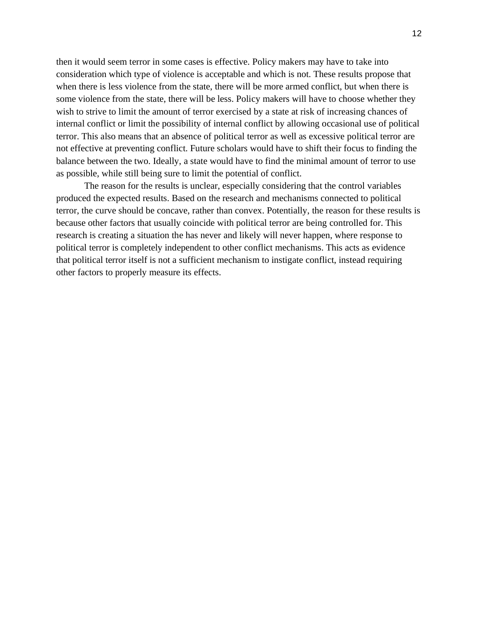then it would seem terror in some cases is effective. Policy makers may have to take into consideration which type of violence is acceptable and which is not. These results propose that when there is less violence from the state, there will be more armed conflict, but when there is some violence from the state, there will be less. Policy makers will have to choose whether they wish to strive to limit the amount of terror exercised by a state at risk of increasing chances of internal conflict or limit the possibility of internal conflict by allowing occasional use of political terror. This also means that an absence of political terror as well as excessive political terror are not effective at preventing conflict. Future scholars would have to shift their focus to finding the balance between the two. Ideally, a state would have to find the minimal amount of terror to use as possible, while still being sure to limit the potential of conflict.

The reason for the results is unclear, especially considering that the control variables produced the expected results. Based on the research and mechanisms connected to political terror, the curve should be concave, rather than convex. Potentially, the reason for these results is because other factors that usually coincide with political terror are being controlled for. This research is creating a situation the has never and likely will never happen, where response to political terror is completely independent to other conflict mechanisms. This acts as evidence that political terror itself is not a sufficient mechanism to instigate conflict, instead requiring other factors to properly measure its effects.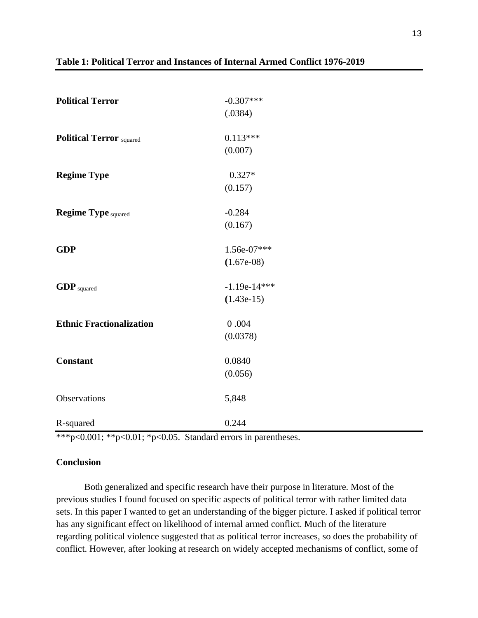| <b>Political Terror</b>         | $-0.307***$    |
|---------------------------------|----------------|
|                                 | (.0384)        |
|                                 |                |
| <b>Political Terror</b> squared | $0.113***$     |
|                                 | (0.007)        |
| <b>Regime Type</b>              | $0.327*$       |
|                                 | (0.157)        |
|                                 |                |
| <b>Regime Type squared</b>      | $-0.284$       |
|                                 | (0.167)        |
| <b>GDP</b>                      | 1.56e-07***    |
|                                 | $(1.67e-08)$   |
| <b>GDP</b> squared              | $-1.19e-14***$ |
|                                 | $(1.43e-15)$   |
|                                 |                |
| <b>Ethnic Fractionalization</b> | 0.004          |
|                                 | (0.0378)       |
| <b>Constant</b>                 | 0.0840         |
|                                 | (0.056)        |
| Observations                    | 5,848          |
|                                 |                |
| R-squared                       | 0.244          |

# **Table 1: Political Terror and Instances of Internal Armed Conflict 1976-2019**

\*\*\*p<0.001; \*\*p<0.01; \*p<0.05. Standard errors in parentheses.

# **Conclusion**

Both generalized and specific research have their purpose in literature. Most of the previous studies I found focused on specific aspects of political terror with rather limited data sets. In this paper I wanted to get an understanding of the bigger picture. I asked if political terror has any significant effect on likelihood of internal armed conflict. Much of the literature regarding political violence suggested that as political terror increases, so does the probability of conflict. However, after looking at research on widely accepted mechanisms of conflict, some of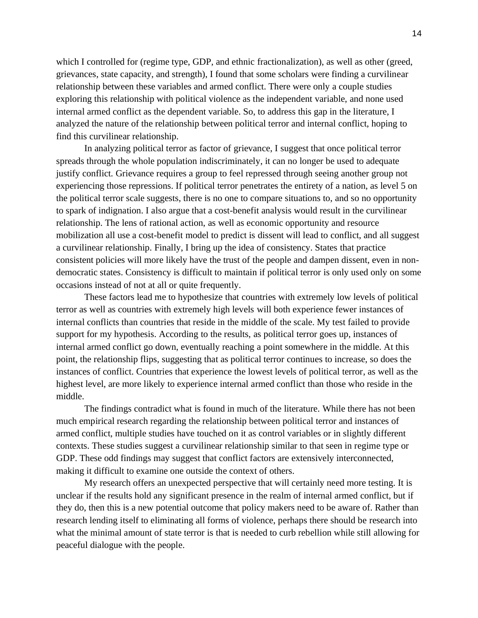which I controlled for (regime type, GDP, and ethnic fractionalization), as well as other (greed, grievances, state capacity, and strength), I found that some scholars were finding a curvilinear relationship between these variables and armed conflict. There were only a couple studies exploring this relationship with political violence as the independent variable, and none used internal armed conflict as the dependent variable. So, to address this gap in the literature, I analyzed the nature of the relationship between political terror and internal conflict, hoping to find this curvilinear relationship.

In analyzing political terror as factor of grievance, I suggest that once political terror spreads through the whole population indiscriminately, it can no longer be used to adequate justify conflict. Grievance requires a group to feel repressed through seeing another group not experiencing those repressions. If political terror penetrates the entirety of a nation, as level 5 on the political terror scale suggests, there is no one to compare situations to, and so no opportunity to spark of indignation. I also argue that a cost-benefit analysis would result in the curvilinear relationship. The lens of rational action, as well as economic opportunity and resource mobilization all use a cost-benefit model to predict is dissent will lead to conflict, and all suggest a curvilinear relationship. Finally, I bring up the idea of consistency. States that practice consistent policies will more likely have the trust of the people and dampen dissent, even in nondemocratic states. Consistency is difficult to maintain if political terror is only used only on some occasions instead of not at all or quite frequently.

These factors lead me to hypothesize that countries with extremely low levels of political terror as well as countries with extremely high levels will both experience fewer instances of internal conflicts than countries that reside in the middle of the scale. My test failed to provide support for my hypothesis. According to the results, as political terror goes up, instances of internal armed conflict go down, eventually reaching a point somewhere in the middle. At this point, the relationship flips, suggesting that as political terror continues to increase, so does the instances of conflict. Countries that experience the lowest levels of political terror, as well as the highest level, are more likely to experience internal armed conflict than those who reside in the middle.

The findings contradict what is found in much of the literature. While there has not been much empirical research regarding the relationship between political terror and instances of armed conflict, multiple studies have touched on it as control variables or in slightly different contexts. These studies suggest a curvilinear relationship similar to that seen in regime type or GDP. These odd findings may suggest that conflict factors are extensively interconnected, making it difficult to examine one outside the context of others.

My research offers an unexpected perspective that will certainly need more testing. It is unclear if the results hold any significant presence in the realm of internal armed conflict, but if they do, then this is a new potential outcome that policy makers need to be aware of. Rather than research lending itself to eliminating all forms of violence, perhaps there should be research into what the minimal amount of state terror is that is needed to curb rebellion while still allowing for peaceful dialogue with the people.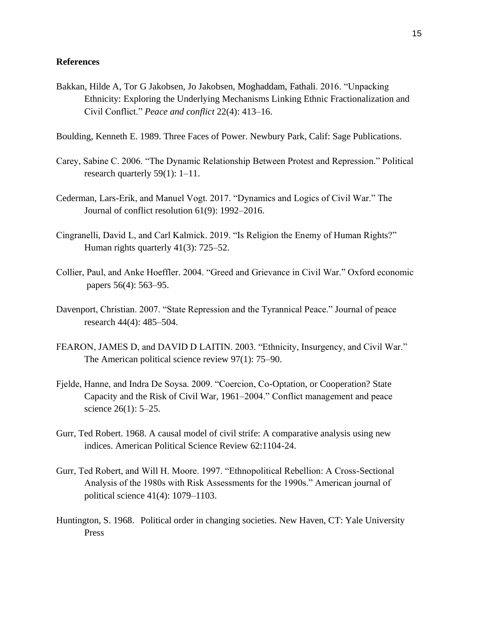#### **References**

- Bakkan, Hilde A, Tor G Jakobsen, Jo Jakobsen, Moghaddam, Fathali. 2016. "Unpacking Ethnicity: Exploring the Underlying Mechanisms Linking Ethnic Fractionalization and Civil Conflict." *Peace and conflict* 22(4): 413–16.
- Boulding, Kenneth E. 1989. Three Faces of Power. Newbury Park, Calif: Sage Publications.
- Carey, Sabine C. 2006. "The Dynamic Relationship Between Protest and Repression." Political research quarterly 59(1): 1–11.
- Cederman, Lars-Erik, and Manuel Vogt. 2017. "Dynamics and Logics of Civil War." The Journal of conflict resolution 61(9): 1992–2016.
- Cingranelli, David L, and Carl Kalmick. 2019. "Is Religion the Enemy of Human Rights?" Human rights quarterly 41(3): 725–52.
- Collier, Paul, and Anke Hoeffler. 2004. "Greed and Grievance in Civil War." Oxford economic papers 56(4): 563–95.
- Davenport, Christian. 2007. "State Repression and the Tyrannical Peace." Journal of peace research 44(4): 485–504.
- FEARON, JAMES D, and DAVID D LAITIN. 2003. "Ethnicity, Insurgency, and Civil War." The American political science review 97(1): 75–90.
- Fjelde, Hanne, and Indra De Soysa. 2009. "Coercion, Co-Optation, or Cooperation? State Capacity and the Risk of Civil War, 1961–2004." Conflict management and peace science 26(1): 5–25.
- Gurr, Ted Robert. 1968. A causal model of civil strife: A comparative analysis using new indices. American Political Science Review 62:1104-24.
- Gurr, Ted Robert, and Will H. Moore. 1997. "Ethnopolitical Rebellion: A Cross-Sectional Analysis of the 1980s with Risk Assessments for the 1990s." American journal of political science 41(4): 1079–1103.
- Huntington, S. 1968. Political order in changing societies. New Haven, CT: Yale University Press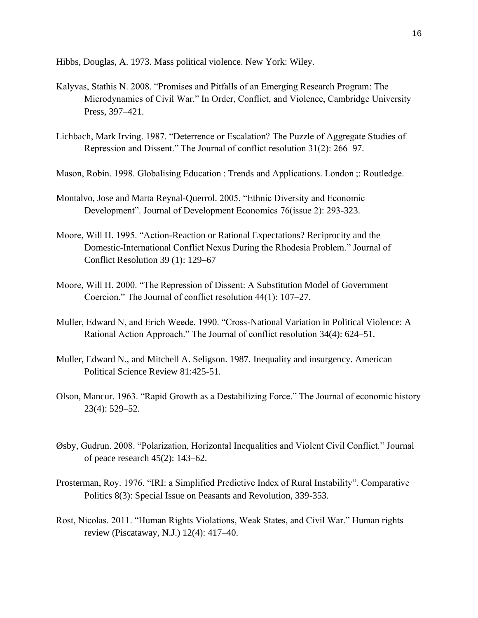Hibbs, Douglas, A. 1973. Mass political violence. New York: Wiley.

- Kalyvas, Stathis N. 2008. "Promises and Pitfalls of an Emerging Research Program: The Microdynamics of Civil War." In Order, Conflict, and Violence, Cambridge University Press, 397–421.
- Lichbach, Mark Irving. 1987. "Deterrence or Escalation? The Puzzle of Aggregate Studies of Repression and Dissent." The Journal of conflict resolution 31(2): 266–97.
- Mason, Robin. 1998. Globalising Education : Trends and Applications. London ;: Routledge.
- Montalvo, Jose and Marta Reynal-Querrol. 2005. "Ethnic Diversity and Economic Development". Journal of Development Economics 76(issue 2): 293-323.
- Moore, Will H. 1995. "Action-Reaction or Rational Expectations? Reciprocity and the Domestic-International Conflict Nexus During the Rhodesia Problem." Journal of Conflict Resolution 39 (1): 129–67
- Moore, Will H. 2000. "The Repression of Dissent: A Substitution Model of Government Coercion." The Journal of conflict resolution 44(1): 107–27.
- Muller, Edward N, and Erich Weede. 1990. "Cross-National Variation in Political Violence: A Rational Action Approach." The Journal of conflict resolution 34(4): 624–51.
- Muller, Edward N., and Mitchell A. Seligson. 1987. Inequality and insurgency. American Political Science Review 81:425-51.
- Olson, Mancur. 1963. "Rapid Growth as a Destabilizing Force." The Journal of economic history 23(4): 529–52.
- Øsby, Gudrun. 2008. "Polarization, Horizontal Inequalities and Violent Civil Conflict." Journal of peace research 45(2): 143–62.
- Prosterman, Roy. 1976. "IRI: a Simplified Predictive Index of Rural Instability". Comparative Politics 8(3): Special Issue on Peasants and Revolution, 339-353.
- Rost, Nicolas. 2011. "Human Rights Violations, Weak States, and Civil War." Human rights review (Piscataway, N.J.) 12(4): 417–40.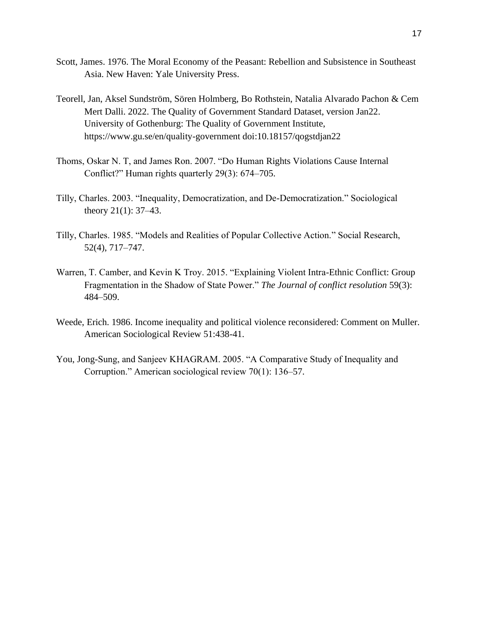- Scott, James. 1976. The Moral Economy of the Peasant: Rebellion and Subsistence in Southeast Asia. New Haven: Yale University Press.
- Teorell, Jan, Aksel Sundström, Sören Holmberg, Bo Rothstein, Natalia Alvarado Pachon & Cem Mert Dalli. 2022. The Quality of Government Standard Dataset, version Jan22. University of Gothenburg: The Quality of Government Institute, https://www.gu.se/en/quality-government doi:10.18157/qogstdjan22
- Thoms, Oskar N. T, and James Ron. 2007. "Do Human Rights Violations Cause Internal Conflict?" Human rights quarterly 29(3): 674–705.
- Tilly, Charles. 2003. "Inequality, Democratization, and De-Democratization." Sociological theory  $21(1)$ : 37–43.
- Tilly, Charles. 1985. "Models and Realities of Popular Collective Action." Social Research, 52(4), 717–747.
- Warren, T. Camber, and Kevin K Troy. 2015. "Explaining Violent Intra-Ethnic Conflict: Group Fragmentation in the Shadow of State Power." *The Journal of conflict resolution* 59(3): 484–509.
- Weede, Erich. 1986. Income inequality and political violence reconsidered: Comment on Muller. American Sociological Review 51:438-41.
- You, Jong-Sung, and Sanjeev KHAGRAM. 2005. "A Comparative Study of Inequality and Corruption." American sociological review 70(1): 136–57.